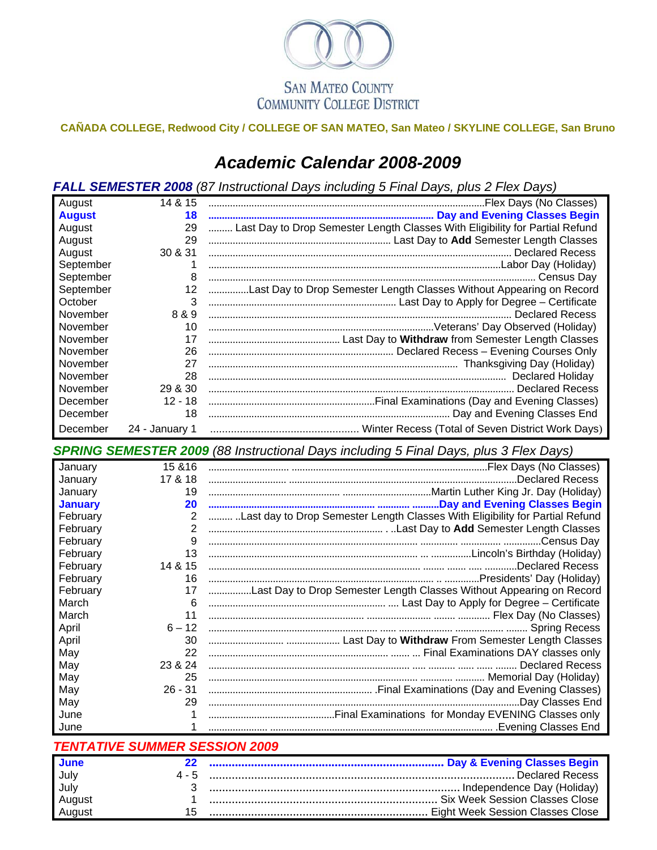

## **CAÑADA COLLEGE, Redwood City / COLLEGE OF SAN MATEO, San Mateo / SKYLINE COLLEGE, San Bruno**

## *Academic Calendar 2008-2009*

*FALL SEMESTER 2008 (87 Instructional Days including 5 Final Days, plus 2 Flex Days)*

| August        | 14 & 15        |                                                                              |
|---------------|----------------|------------------------------------------------------------------------------|
| <b>August</b> | 18             |                                                                              |
| August        | 29             | Last Day to Drop Semester Length Classes With Eligibility for Partial Refund |
| August        | 29             |                                                                              |
| August        | 30 & 31        |                                                                              |
| September     |                |                                                                              |
| September     | 8              |                                                                              |
| September     | 12             | Last Day to Drop Semester Length Classes Without Appearing on Record         |
| October       | 3              |                                                                              |
| November      | 8 & 9          |                                                                              |
| November      | 10             |                                                                              |
| November      | 17             |                                                                              |
| November      | 26             |                                                                              |
| November      | 27             |                                                                              |
| November      | 28             |                                                                              |
| November      | 29 & 30        |                                                                              |
| December      | $12 - 18$      |                                                                              |
| December      | 18             |                                                                              |
| December      | 24 - January 1 |                                                                              |

*SPRING SEMESTER 2009 (88 Instructional Days including 5 Final Days, plus 3 Flex Days)*

| January        | 15 & 16        |                                                                              |
|----------------|----------------|------------------------------------------------------------------------------|
| January        | 17 & 18        | Declared Recess.                                                             |
| January        | 19             |                                                                              |
| <b>January</b> | 20             |                                                                              |
| February       | $\overline{2}$ | Last day to Drop Semester Length Classes With Eligibility for Partial Refund |
| February       | 2              |                                                                              |
| February       | 9              |                                                                              |
| February       | 13             |                                                                              |
| February       | 14 & 15        | Declared Recess.                                                             |
| February       | 16             |                                                                              |
| February       | 17             | Last Day to Drop Semester Length Classes Without Appearing on Record         |
| March          | 6              |                                                                              |
| March          | 11             |                                                                              |
| April          | $6 - 12$       |                                                                              |
| April          | 30             |                                                                              |
| May            | 22             |                                                                              |
| May            | 23 & 24        |                                                                              |
| May            | 25             |                                                                              |
| May            | $26 - 31$      |                                                                              |
| May            | 29             |                                                                              |
| June           |                |                                                                              |
| June           |                |                                                                              |
|                |                |                                                                              |

| <b>TENTATIVE SUMMER SESSION 2009</b> |
|--------------------------------------|
|                                      |

| <b>June</b>      |  |
|------------------|--|
| July             |  |
| July             |  |
|                  |  |
| August<br>August |  |